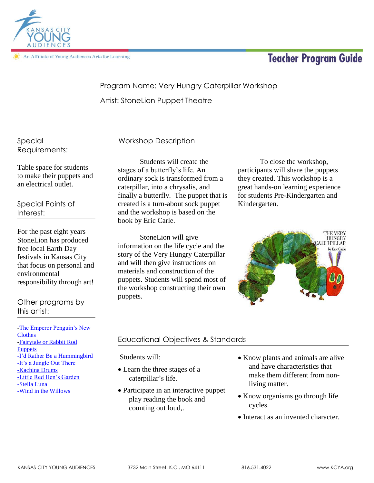

An Affiliate of Young Audiences Arts for Learning

# **Teacher Program Guide**

# Program Name: Very Hungry Caterpillar Workshop

Artist: StoneLion Puppet Theatre

Special Requirements:

Table space for students to make their puppets and an electrical outlet.

Special Points of Interest:

For the past eight years StoneLion has produced free local Earth Day festivals in Kansas City that focus on personal and environmental responsibility through art!

Other programs by this artist:

[-The Emperor Penguin's New](http://kcya.lazarusgroup.com/art_catalog.php?page=list&q=item&id=345)  **[Clothes](http://kcya.lazarusgroup.com/art_catalog.php?page=list&q=item&id=345)** [-Fairytale or Rabbit Rod](http://kcya.lazarusgroup.com/art_catalog.php?page=list&q=item&id=491)  **[Puppets](http://kcya.lazarusgroup.com/art_catalog.php?page=list&q=item&id=491)** [-I'd Rather Be a Hummingbird](http://kcya.lazarusgroup.com/art_catalog.php?page=list&q=item&id=663) [-It's a Jungle Out There](http://kcya.lazarusgroup.com/art_catalog.php?page=list&q=item&id=488) [-Kachina Drums](http://kcya.lazarusgroup.com/art_catalog.php?page=list&q=item&id=279) [-Little Red Hen's Garden](http://kcya.lazarusgroup.com/art_catalog.php?page=list&q=item&id=740) [-Stella Luna](http://kcya.lazarusgroup.com/art_catalog.php?page=list&q=item&id=339) [-Wind in the Willows](http://kcya.lazarusgroup.com/art_catalog.php?page=list&q=item&id=681)

# Workshop Description

Students will create the stages of a butterfly's life. An ordinary sock is transformed from a caterpillar, into a chrysalis, and finally a butterfly. The puppet that is created is a turn-about sock puppet and the workshop is based on the book by Eric Carle.

 StoneLion will give information on the life cycle and the story of the Very Hungry Caterpillar and will then give instructions on materials and construction of the puppets. Students will spend most of the workshop constructing their own puppets.

To close the workshop, participants will share the puppets they created. This workshop is a great hands-on learning experience for students Pre-Kindergarten and Kindergarten.



# Educational Objectives & Standards

Students will:

- Learn the three stages of a caterpillar's life.
- Participate in an interactive puppet play reading the book and counting out loud,.
- Know plants and animals are alive and have characteristics that make them different from nonliving matter.
- Know organisms go through life cycles.
- Interact as an invented character.